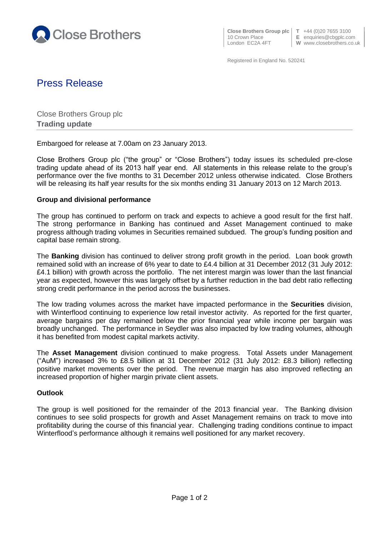

**Close Brothers Group plc**  $\begin{bmatrix} T & +44 & (0)20 & 7655 & 3100 \\ E & \text{equities} & \text{c} \end{bmatrix}$ 

**E** enquiries@cbgplc.com

London EC2A 4FT **W** www.closebrothers.co.uk

Registered in England No. 520241

# Press Release

Close Brothers Group plc **Trading update**

Embargoed for release at 7.00am on 23 January 2013.

Close Brothers Group plc ("the group" or "Close Brothers") today issues its scheduled pre-close trading update ahead of its 2013 half year end. All statements in this release relate to the group's performance over the five months to 31 December 2012 unless otherwise indicated. Close Brothers will be releasing its half year results for the six months ending 31 January 2013 on 12 March 2013.

## **Group and divisional performance**

The group has continued to perform on track and expects to achieve a good result for the first half. The strong performance in Banking has continued and Asset Management continued to make progress although trading volumes in Securities remained subdued. The group's funding position and capital base remain strong.

The **Banking** division has continued to deliver strong profit growth in the period. Loan book growth remained solid with an increase of 6% year to date to £4.4 billion at 31 December 2012 (31 July 2012: £4.1 billion) with growth across the portfolio. The net interest margin was lower than the last financial year as expected, however this was largely offset by a further reduction in the bad debt ratio reflecting strong credit performance in the period across the businesses.

The low trading volumes across the market have impacted performance in the **Securities** division, with Winterflood continuing to experience low retail investor activity. As reported for the first quarter, average bargains per day remained below the prior financial year while income per bargain was broadly unchanged. The performance in Seydler was also impacted by low trading volumes, although it has benefited from modest capital markets activity.

The **Asset Management** division continued to make progress. Total Assets under Management ("AuM") increased 3% to £8.5 billion at 31 December 2012 (31 July 2012: £8.3 billion) reflecting positive market movements over the period. The revenue margin has also improved reflecting an increased proportion of higher margin private client assets.

## **Outlook**

The group is well positioned for the remainder of the 2013 financial year. The Banking division continues to see solid prospects for growth and Asset Management remains on track to move into profitability during the course of this financial year. Challenging trading conditions continue to impact Winterflood's performance although it remains well positioned for any market recovery.